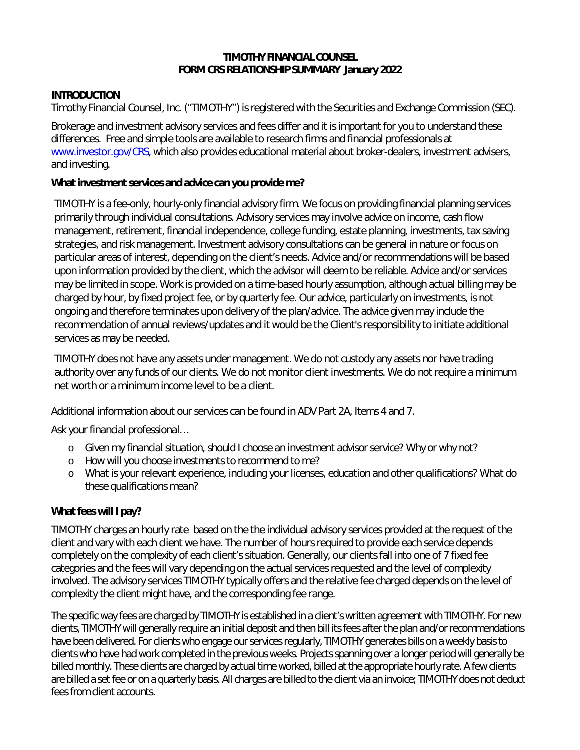#### **TIMOTHY FINANCIAL COUNSEL FORM CRS RELATIONSHIP SUMMARY January 2022**

#### **INTRODUCTION**

Timothy Financial Counsel, Inc. ("TIMOTHY") is registered with the Securities and Exchange Commission (SEC).

Brokerage and investment advisory services and fees differ and it is important for you to understand these differences. Free and simple tools are available to research firms and financial professionals at [www.investor.gov/CRS,](http://www.investor.gov/CRS) which also provides educational material about broker-dealers, investment advisers, and investing.

#### **What investment services and advice can you provide me?**

TIMOTHY is a fee-only, hourly-only financial advisory firm. We focus on providing financial planning services primarily through individual consultations. Advisory services may involve advice on income, cash flow management, retirement, financial independence, college funding, estate planning, investments, tax saving strategies, and risk management. Investment advisory consultations can be general in nature or focus on particular areas of interest, depending on the client's needs. Advice and/or recommendations will be based upon information provided by the client, which the advisor will deem to be reliable. Advice and/or services may be limited in scope. Work is provided on a time-based hourly assumption, although actual billing may be charged by hour, by fixed project fee, or by quarterly fee. Our advice, particularly on investments, is not ongoing and therefore terminates upon delivery of the plan/advice. The advice given may include the recommendation of annual reviews/updates and it would be the Client's responsibility to initiate additional services as may be needed.

TIMOTHY does not have any assets under management. We do not custody any assets nor have trading authority over any funds of our clients. We do not monitor client investments. We do not require a minimum net worth or a minimum income level to be a client.

Additional information about our services can be found in ADV Part 2A, Items 4 and 7.

*Ask your financial professional…* 

- o *Given my financial situation, should I choose an investment advisor service? Why or why not?*
- o *How will you choose investments to recommend to me?*
- o *What is your relevant experience, including your licenses, education and other qualifications? What do these qualifications mean?*

### **What fees will I pay?**

TIMOTHY charges an hourly rate based on the the individual advisory services provided at the request of the client and vary with each client we have. The number of hours required to provide each service depends completely on the complexity of each client's situation. Generally, our clients fall into one of 7 fixed fee categories and the fees will vary depending on the actual services requested and the level of complexity involved. The advisory services TIMOTHY typically offers and the relative fee charged depends on the level of complexity the client might have, and the corresponding fee range.

The specific way fees are charged by TIMOTHY is established in a client's written agreement with TIMOTHY. For new clients, TIMOTHY will generally require an initial deposit and then bill its fees after the plan and/or recommendations have been delivered. For clients who engage our services regularly, TIMOTHY generates bills on a weekly basis to clients who have had work completed in the previous weeks. Projects spanning over a longer period will generally be billed monthly. These clients are charged by actual time worked, billed at the appropriate hourly rate. A few clients are billed a set fee or on a quarterly basis. All charges are billed to the client via an invoice; TIMOTHY does not deduct fees from client accounts.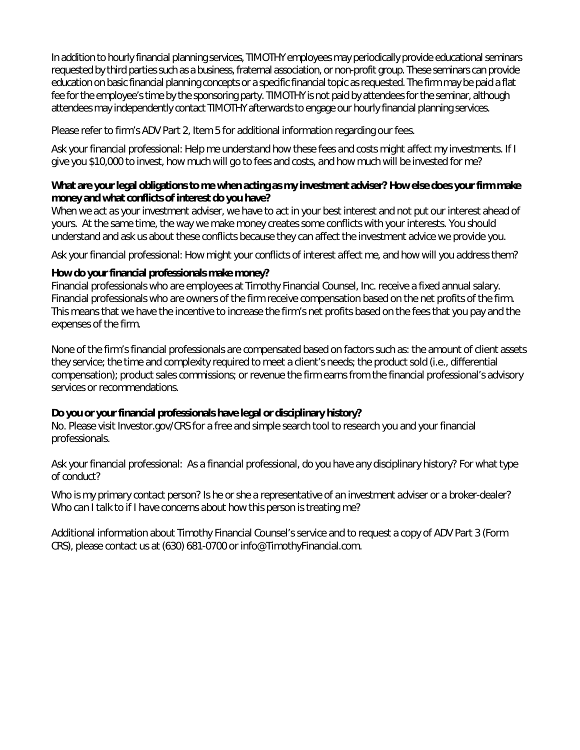In addition to hourly financial planning services, TIMOTHY employees may periodically provide educational seminars requested by third parties such as a business, fraternal association, or non-profit group. These seminars can provide education on basic financial planning concepts or a specific financial topic as requested. The firm may be paid a flat fee for the employee's time by the sponsoring party. TIMOTHY is not paid by attendees for the seminar, although attendees may independently contact TIMOTHY afterwards to engage our hourly financial planning services.

Please refer to firm's ADV Part 2, Item 5 for additional information regarding our fees.

*Ask your financial professional: Help me understand how these fees and costs might affect my investments. If I give you \$10,000 to invest, how much will go to fees and costs, and how much will be invested for me?*

#### **What are your legal obligations to me when acting as my investment adviser? How else does your firm make money and what conflicts of interest do you have?**

*When we act as your investment adviser*, we have to act in your best interest and not put our interest ahead of yours. At the same time, the way we make money creates some conflicts with your interests. You should understand and ask us about these conflicts because they can affect the investment advice we provide you.

*Ask your financial professional: How might your conflicts of interest affect me, and how will you address them?* 

#### **How do your financial professionals make money?**

Financial professionals who are employees at Timothy Financial Counsel, Inc. receive a fixed annual salary. Financial professionals who are owners of the firm receive compensation based on the net profits of the firm. This means that we have the incentive to increase the firm's net profits based on the fees that you pay and the expenses of the firm.

None of the firm's financial professionals are compensated based on factors such as: the amount of client assets they service; the time and complexity required to meet a client's needs; the product sold (i.e., differential compensation); product sales commissions; or revenue the firm earns from the financial professional's advisory services or recommendations.

### **Do you or your financial professionals have legal or disciplinary history?**

No. Please visit Investor.gov/CRS for a free and simple search tool to research you and your financial professionals.

*Ask your financial professional*: *As a financial professional, do you have any disciplinary history? For what type of conduct?*

*Who is my primary contact person? Is he or she a representative of an investment adviser or a broker-dealer? Who can I talk to if I have concerns about how this person is treating me?* 

Additional information about Timothy Financial Counsel's service and to request a copy of ADV Part 3 (Form CRS), please contact us at (630) 681-0700 or info@TimothyFinancial.com.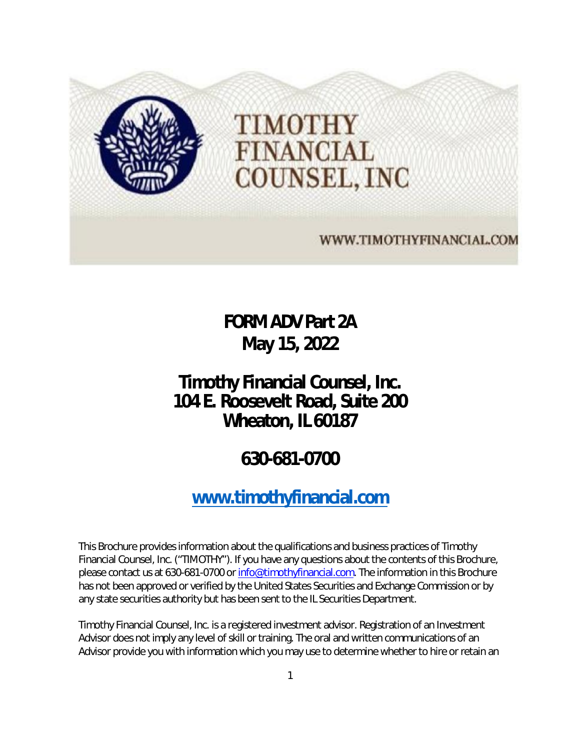

**FORM ADV Part 2A May 15, 2022** 

# <span id="page-2-0"></span>**Timothy Financial Counsel, Inc. 104 E. Roosevelt Road, Suite 200 Wheaton, IL 60187**

# **630-681-0700**

# **[www.timothyfinancial.com](http://www.timothyfinancial.com/)**

This Brochure provides information about the qualifications and business practices of Timothy Financial Counsel, Inc. ("TIMOTHY"). If you have any questions about the contents of this Brochure, please contact us at 630-681-0700 or [info@timothyfinancial.com.](mailto:info@timothyfinancial.com) The information in this Brochure has not been approved or verified by the United States Securities and Exchange Commission or by any state securities authority but has been sent to the IL Securities Department.

Timothy Financial Counsel, Inc. is a registered investment advisor. Registration of an Investment Advisor does not imply any level of skill or training. The oral and written communications of an Advisor provide you with information which you may use to determine whether to hire or retain an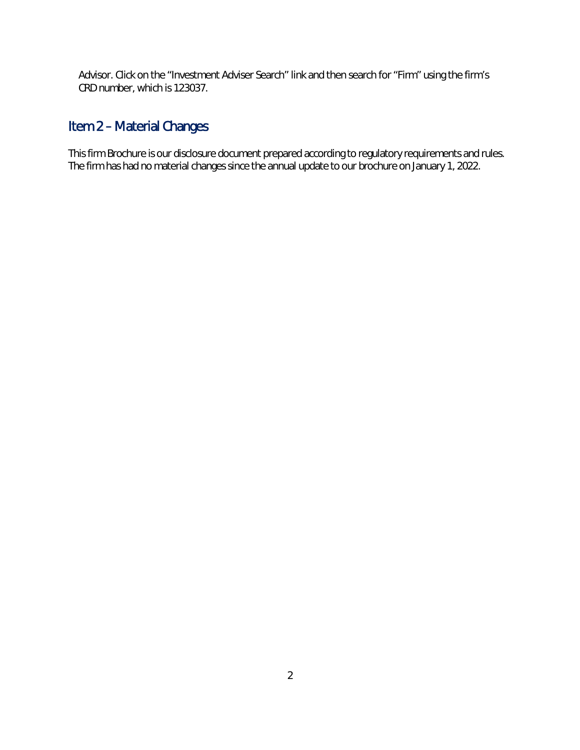Advisor. Click on the "Investment Adviser Search" link and then search for "Firm" using the firm's CRD number, which is 123037.

# <span id="page-3-0"></span>Item 2 – Material Changes

This firm Brochure is our disclosure document prepared according to regulatory requirements and rules. The firm has had no material changes since the annual update to our brochure on January 1, 2022.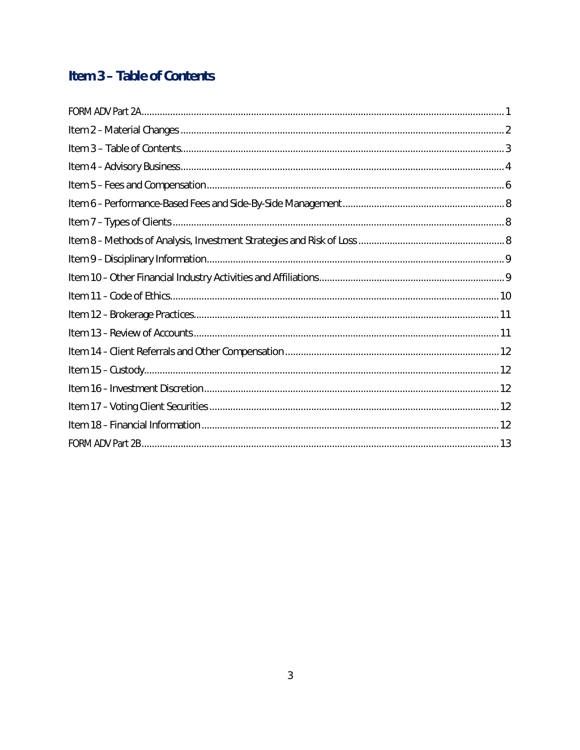# <span id="page-4-0"></span>Item 3 - Table of Contents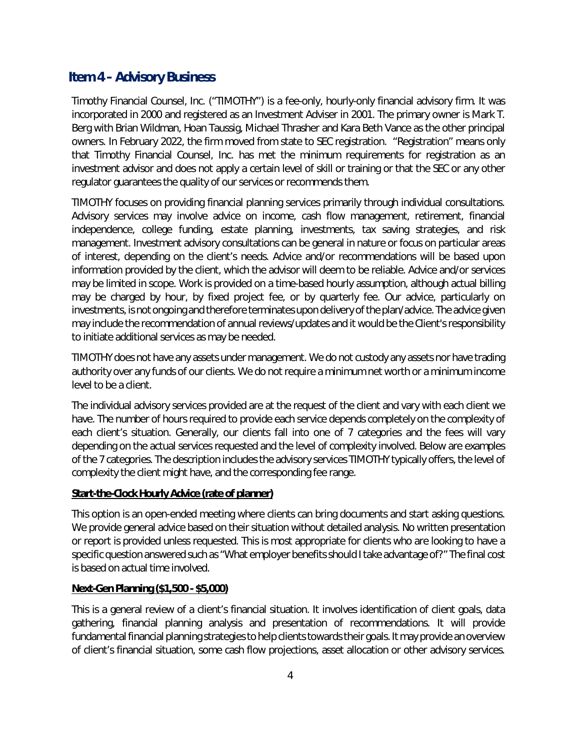## <span id="page-5-0"></span>**Item 4 – Advisory Business**

Timothy Financial Counsel, Inc. ("TIMOTHY") is a fee-only, hourly-only financial advisory firm. It was incorporated in 2000 and registered as an Investment Adviser in 2001. The primary owner is Mark T. Berg with Brian Wildman, Hoan Taussig, Michael Thrasher and Kara Beth Vance as the other principal owners. In February 2022, the firm moved from state to SEC registration. "Registration" means only that Timothy Financial Counsel, Inc. has met the minimum requirements for registration as an investment advisor and does not apply a certain level of skill or training or that the SEC or any other regulator guarantees the quality of our services or recommends them.

TIMOTHY focuses on providing financial planning services primarily through individual consultations. Advisory services may involve advice on income, cash flow management, retirement, financial independence, college funding, estate planning, investments, tax saving strategies, and risk management. Investment advisory consultations can be general in nature or focus on particular areas of interest, depending on the client's needs. Advice and/or recommendations will be based upon information provided by the client, which the advisor will deem to be reliable. Advice and/or services may be limited in scope. Work is provided on a time-based hourly assumption, although actual billing may be charged by hour, by fixed project fee, or by quarterly fee. Our advice, particularly on investments, is not ongoing and therefore terminates upon delivery of the plan/advice. The advice given may include the recommendation of annual reviews/updates and it would be the Client's responsibility to initiate additional services as may be needed.

TIMOTHY does not have any assets under management. We do not custody any assets nor have trading authority over any funds of our clients. We do not require a minimum net worth or a minimum income level to be a client.

The individual advisory services provided are at the request of the client and vary with each client we have. The number of hours required to provide each service depends completely on the complexity of each client's situation. Generally, our clients fall into one of 7 categories and the fees will vary depending on the actual services requested and the level of complexity involved. Below are examples of the 7 categories. The description includes the advisory services TIMOTHY typically offers, the level of complexity the client might have, and the corresponding fee range.

#### **Start-the-Clock Hourly Advice (rate of planner)**

This option is an open-ended meeting where clients can bring documents and start asking questions. We provide general advice based on their situation without detailed analysis. No written presentation or report is provided unless requested. This is most appropriate for clients who are looking to have a specific question answered such as "What employer benefits should I take advantage of?" The final cost is based on actual time involved.

#### **Next-Gen Planning (\$1,500 - \$5,000)**

This is a general review of a client's financial situation. It involves identification of client goals, data gathering, financial planning analysis and presentation of recommendations. It will provide fundamental financial planning strategies to help clients towards their goals. It may provide an overview of client's financial situation, some cash flow projections, asset allocation or other advisory services.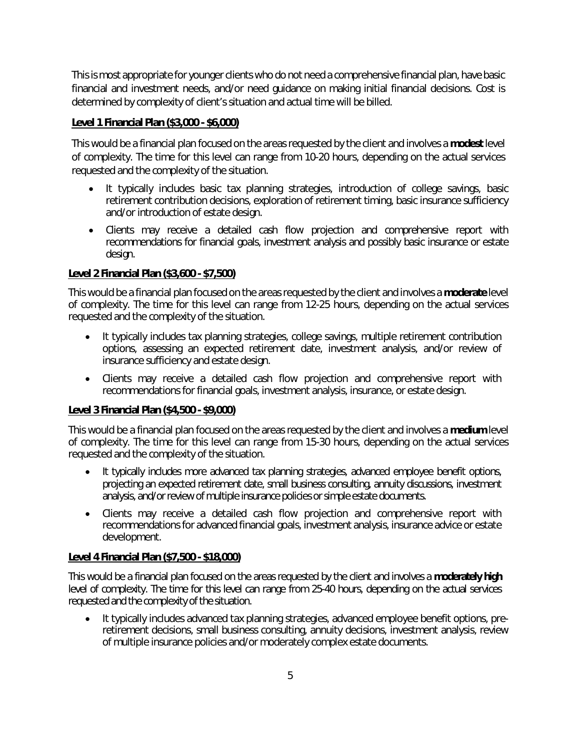This is most appropriate for younger clients who do not need a comprehensive financial plan, have basic financial and investment needs, and/or need guidance on making initial financial decisions. Cost is determined by complexity of client's situation and actual time will be billed.

#### **Level 1 Financial Plan (\$3,000 - \$6,000)**

This would be a financial plan focused on the areas requested by the client and involves a **modest** level of complexity. The time for this level can range from 10-20 hours, depending on the actual services requested and the complexity of the situation.

- It typically includes basic tax planning strategies, introduction of college savings, basic retirement contribution decisions, exploration of retirement timing, basic insurance sufficiency and/or introduction of estate design.
- Clients may receive a detailed cash flow projection and comprehensive report with recommendations for financial goals, investment analysis and possibly basic insurance or estate design.

#### **Level 2 Financial Plan (\$3,600 - \$7,500)**

This would be a financial plan focused on the areas requested by the client and involves a **moderate** level of complexity. The time for this level can range from 12-25 hours, depending on the actual services requested and the complexity of the situation.

- It typically includes tax planning strategies, college savings, multiple retirement contribution options, assessing an expected retirement date, investment analysis, and/or review of insurance sufficiency and estate design.
- Clients may receive a detailed cash flow projection and comprehensive report with recommendations for financial goals, investment analysis, insurance, or estate design.

#### **Level 3 Financial Plan (\$4,500 - \$9,000)**

This would be a financial plan focused on the areas requested by the client and involves a **medium** level of complexity. The time for this level can range from 15-30 hours, depending on the actual services requested and the complexity of the situation.

- It typically includes more advanced tax planning strategies, advanced employee benefit options, projecting an expected retirement date, small business consulting, annuity discussions, investment analysis, and/or review of multiple insurance policies or simple estate documents.
- Clients may receive a detailed cash flow projection and comprehensive report with recommendations for advanced financial goals, investment analysis, insurance advice or estate development.

#### **Level 4 Financial Plan (\$7,500 - \$18,000)**

This would be a financial plan focused on the areas requested by the client and involves a **moderately high** level of complexity. The time for this level can range from 25-40 hours, depending on the actual services requested and the complexity of the situation.

 It typically includes advanced tax planning strategies, advanced employee benefit options, preretirement decisions, small business consulting, annuity decisions, investment analysis, review of multiple insurance policies and/or moderately complex estate documents.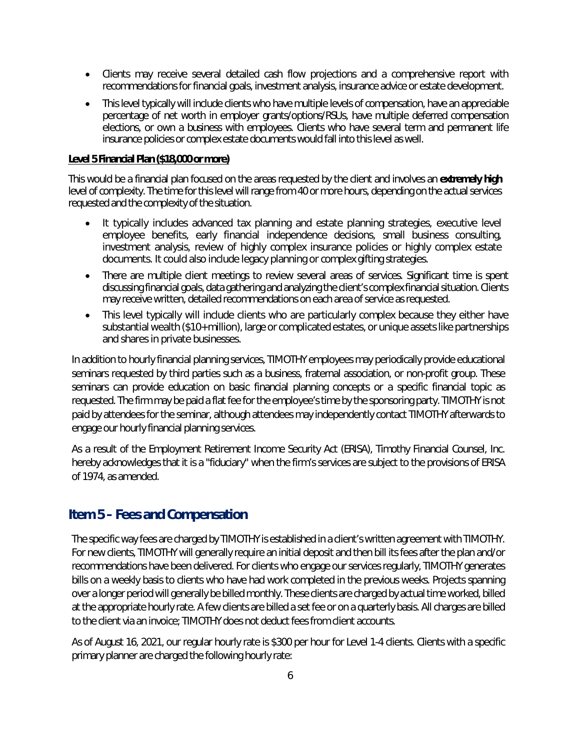- Clients may receive several detailed cash flow projections and a comprehensive report with recommendations for financial goals, investment analysis, insurance advice or estate development.
- This level typically will include clients who have multiple levels of compensation, have an appreciable percentage of net worth in employer grants/options/RSUs, have multiple deferred compensation elections, or own a business with employees. Clients who have several term and permanent life insurance policies or complex estate documents would fall into this level as well.

#### **Level 5 Financial Plan (\$18,000 or more)**

This would be a financial plan focused on the areas requested by the client and involves an **extremely high**  level of complexity. The time for this level will range from 40 or more hours, depending on the actual services requested and the complexity of the situation.

- It typically includes advanced tax planning and estate planning strategies, executive level employee benefits, early financial independence decisions, small business consulting, investment analysis, review of highly complex insurance policies or highly complex estate documents. It could also include legacy planning or complex gifting strategies.
- There are multiple client meetings to review several areas of services. Significant time is spent discussing financial goals, data gathering and analyzing the client's complex financial situation. Clients may receive written, detailed recommendations on each area of service as requested.
- This level typically will include clients who are particularly complex because they either have substantial wealth (\$10+ million), large or complicated estates, or unique assets like partnerships and shares in private businesses.

In addition to hourly financial planning services, TIMOTHY employees may periodically provide educational seminars requested by third parties such as a business, fraternal association, or non-profit group. These seminars can provide education on basic financial planning concepts or a specific financial topic as requested. The firm may be paid a flat fee for the employee's time by the sponsoring party. TIMOTHY is not paid by attendees for the seminar, although attendees may independently contact TIMOTHY afterwards to engage our hourly financial planning services.

As a result of the Employment Retirement Income Security Act (ERISA), Timothy Financial Counsel, Inc. hereby acknowledges that it is a "fiduciary" when the firm's services are subject to the provisions of ERISA of 1974, as amended.

## <span id="page-7-0"></span>**Item 5 – Fees and Compensation**

The specific way fees are charged by TIMOTHY is established in a client's written agreement with TIMOTHY. For new clients, TIMOTHY will generally require an initial deposit and then bill its fees after the plan and/or recommendations have been delivered. For clients who engage our services regularly, TIMOTHY generates bills on a weekly basis to clients who have had work completed in the previous weeks. Projects spanning over a longer period will generally be billed monthly. These clients are charged by actual time worked, billed at the appropriate hourly rate. A few clients are billed a set fee or on a quarterly basis. All charges are billed to the client via an invoice; TIMOTHY does not deduct fees from client accounts.

As of August 16, 2021, our regular hourly rate is \$300 per hour for Level 1-4 clients. Clients with a specific primary planner are charged the following hourly rate: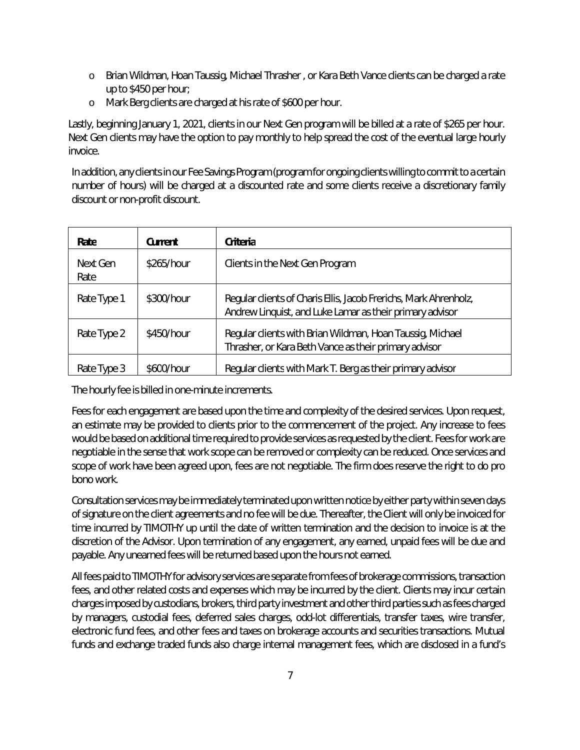- o Brian Wildman, Hoan Taussig, Michael Thrasher , or Kara Beth Vance clients can be charged a rate up to \$450 per hour;
- o Mark Berg clients are charged at his rate of \$600 per hour.

Lastly, beginning January 1, 2021, clients in our Next Gen program will be billed at a rate of \$265 per hour. Next Gen clients may have the option to pay monthly to help spread the cost of the eventual large hourly invoice.

In addition, any clients in our Fee Savings Program (program for ongoing clients willing to commit to a certain number of hours) will be charged at a discounted rate and some clients receive a discretionary family discount or non-profit discount.

| Rate             | Current    | <b>Criteria</b>                                                                                                              |
|------------------|------------|------------------------------------------------------------------------------------------------------------------------------|
| Next Gen<br>Rate | \$265/hour | Clients in the Next Gen Program                                                                                              |
| Rate Type 1      | \$300/hour | Regular clients of Charis Ellis, Jacob Frerichs, Mark Ahrenholz,<br>Andrew Linquist, and Luke Lamar as their primary advisor |
| Rate Type 2      | \$450/hour | Regular clients with Brian Wildman, Hoan Taussig, Michael<br>Thrasher, or Kara Beth Vance as their primary advisor           |
| Rate Type 3      | \$600/hour | Regular clients with Mark T. Berg as their primary advisor                                                                   |

The hourly fee is billed in one-minute increments.

Fees for each engagement are based upon the time and complexity of the desired services. Upon request, an estimate may be provided to clients prior to the commencement of the project. Any increase to fees would be based on additional time required to provide services as requested by the client. Fees for work are negotiable in the sense that work scope can be removed or complexity can be reduced. Once services and scope of work have been agreed upon, fees are not negotiable. The firm does reserve the right to do pro bono work.

Consultation services may be immediately terminated upon written notice by either party within seven days of signature on the client agreements and no fee will be due. Thereafter, the Client will only be invoiced for time incurred by TIMOTHY up until the date of written termination and the decision to invoice is at the discretion of the Advisor. Upon termination of any engagement, any earned, unpaid fees will be due and payable. Any unearned fees will be returned based upon the hours not earned.

All fees paid to TIMOTHY for advisory services are separate from fees of brokerage commissions, transaction fees, and other related costs and expenses which may be incurred by the client. Clients may incur certain charges imposed by custodians, brokers, third party investment and other third parties such as fees charged by managers, custodial fees, deferred sales charges, odd-lot differentials, transfer taxes, wire transfer, electronic fund fees, and other fees and taxes on brokerage accounts and securities transactions. Mutual funds and exchange traded funds also charge internal management fees, which are disclosed in a fund's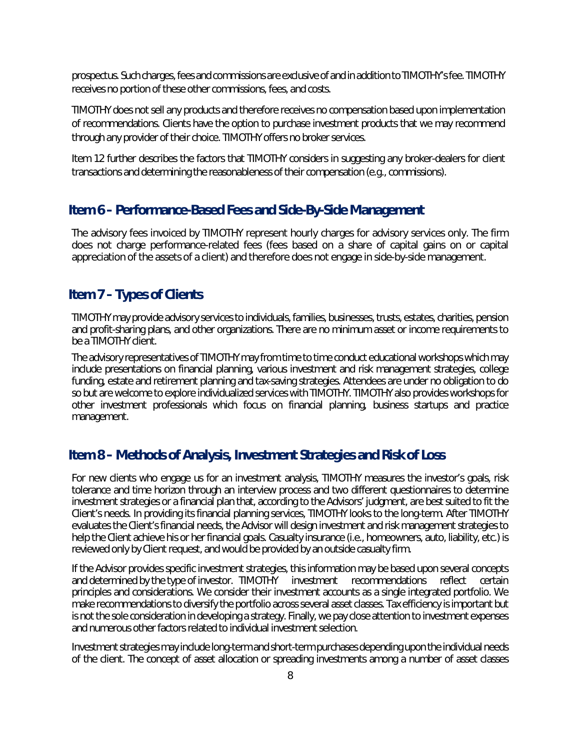prospectus. Such charges, fees and commissions are exclusive of and in addition to TIMOTHY's fee. TIMOTHY receives no portion of these other commissions, fees, and costs.

TIMOTHY does not sell any products and therefore receives no compensation based upon implementation of recommendations. Clients have the option to purchase investment products that we may recommend through any provider of their choice. TIMOTHY offers no broker services.

Item 12 further describes the factors that TIMOTHY considers in suggesting any broker-dealers for client transactions and determining the reasonableness of their compensation (*e.g.*, commissions).

## <span id="page-9-0"></span>**Item 6 – Performance-Based Fees and Side-By-Side Management**

The advisory fees invoiced by TIMOTHY represent hourly charges for advisory services only. The firm does not charge performance-related fees (fees based on a share of capital gains on or capital appreciation of the assets of a client) and therefore does not engage in side-by-side management.

## <span id="page-9-1"></span>**Item 7 – Types of Clients**

TIMOTHY may provide advisory services to individuals, families, businesses, trusts, estates, charities, pension and profit-sharing plans, and other organizations. There are no minimum asset or income requirements to be a TIMOTHY client.

The advisory representatives of TIMOTHY may from time to time conduct educational workshops which may include presentations on financial planning, various investment and risk management strategies, college funding, estate and retirement planning and tax-saving strategies. Attendees are under no obligation to do so but are welcome to explore individualized services with TIMOTHY. TIMOTHY also provides workshops for other investment professionals which focus on financial planning, business startups and practice management.

## <span id="page-9-2"></span>**Item 8 – Methods of Analysis, Investment Strategies and Risk of Loss**

For new clients who engage us for an investment analysis, TIMOTHY measures the investor's goals, risk tolerance and time horizon through an interview process and two different questionnaires to determine investment strategies or a financial plan that, according to the Advisors' judgment, are best suited to fit the Client's needs. In providing its financial planning services, TIMOTHY looks to the long-term. After TIMOTHY evaluates the Client's financial needs, the Advisor will design investment and risk management strategies to help the Client achieve his or her financial goals. Casualty insurance (i.e., homeowners, auto, liability, etc.) is reviewed only by Client request, and would be provided by an outside casualty firm.

If the Advisor provides specific investment strategies, this information may be based upon several concepts and determined by the type of investor. TIMOTHY investment recommendations reflect certain principles and considerations. We consider their investment accounts as a single integrated portfolio. We make recommendations to diversify the portfolio across several asset classes. Tax efficiency is important but is not the sole consideration in developing a strategy. Finally, we pay close attention to investment expenses and numerous other factors related to individual investment selection.

Investment strategies may include long-term and short-term purchases depending upon the individual needs of the client. The concept of asset allocation or spreading investments among a number of asset classes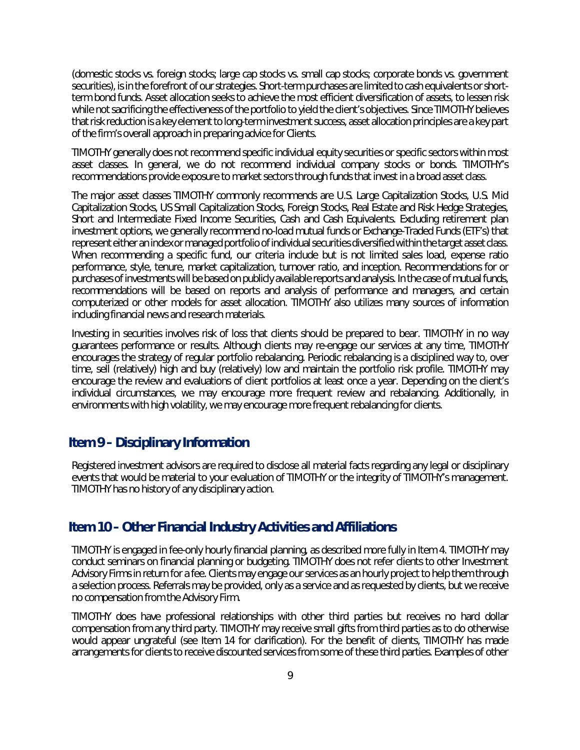(domestic stocks vs. foreign stocks; large cap stocks vs. small cap stocks; corporate bonds vs. government securities), is in the forefront of our strategies. Short-term purchases are limited to cash equivalents or shortterm bond funds. Asset allocation seeks to achieve the most efficient diversification of assets, to lessen risk while not sacrificing the effectiveness of the portfolio to yield the client's objectives. Since TIMOTHY believes that risk reduction is a key element to long-term investment success, asset allocation principles are a key part of the firm's overall approach in preparing advice for Clients.

TIMOTHY generally does not recommend specific individual equity securities or specific sectors within most asset classes. In general, we do not recommend individual company stocks or bonds. TIMOTHY's recommendations provide exposure to market sectors through funds that invest in a broad asset class.

The major asset classes TIMOTHY commonly recommends are U.S. Large Capitalization Stocks, U.S. Mid Capitalization Stocks, US Small Capitalization Stocks, Foreign Stocks, Real Estate and Risk Hedge Strategies, Short and Intermediate Fixed Income Securities, Cash and Cash Equivalents. Excluding retirement plan investment options, we generally recommend no-load mutual funds or Exchange-Traded Funds (ETF's) that represent either an index or managed portfolio of individual securities diversified within the target asset class. When recommending a specific fund, our criteria include but is not limited sales load, expense ratio performance, style, tenure, market capitalization, turnover ratio, and inception. Recommendations for or purchases of investments will be based on publicly available reports and analysis. In the case of mutual funds, recommendations will be based on reports and analysis of performance and managers, and certain computerized or other models for asset allocation. TIMOTHY also utilizes many sources of information including financial news and research materials.

Investing in securities involves risk of loss that clients should be prepared to bear. TIMOTHY in no way guarantees performance or results. Although clients may re-engage our services at any time, TIMOTHY encourages the strategy of regular portfolio rebalancing. Periodic rebalancing is a disciplined way to, over time, sell (relatively) high and buy (relatively) low and maintain the portfolio risk profile. TIMOTHY may encourage the review and evaluations of client portfolios at least once a year. Depending on the client's individual circumstances, we may encourage more frequent review and rebalancing. Additionally, in environments with high volatility, we may encourage more frequent rebalancing for clients.

### <span id="page-10-0"></span>**Item 9 – Disciplinary Information**

Registered investment advisors are required to disclose all material facts regarding any legal or disciplinary events that would be material to your evaluation of TIMOTHY or the integrity of TIMOTHY's management. TIMOTHY has no history of any disciplinary action.

### <span id="page-10-1"></span>**Item 10 – Other Financial Industry Activities and Affiliations**

TIMOTHY is engaged in fee-only hourly financial planning, as described more fully in Item 4. TIMOTHY may conduct seminars on financial planning or budgeting. TIMOTHY does not refer clients to other Investment Advisory Firms in return for a fee. Clients may engage our services as an hourly project to help them through a selection process. Referrals may be provided, only as a service and as requested by clients, but we receive no compensation from the Advisory Firm.

TIMOTHY does have professional relationships with other third parties but receives no hard dollar compensation from any third party. TIMOTHY may receive small gifts from third parties as to do otherwise would appear ungrateful (see Item 14 for clarification). For the benefit of clients, TIMOTHY has made arrangements for clients to receive discounted services from some of these third parties. Examples of other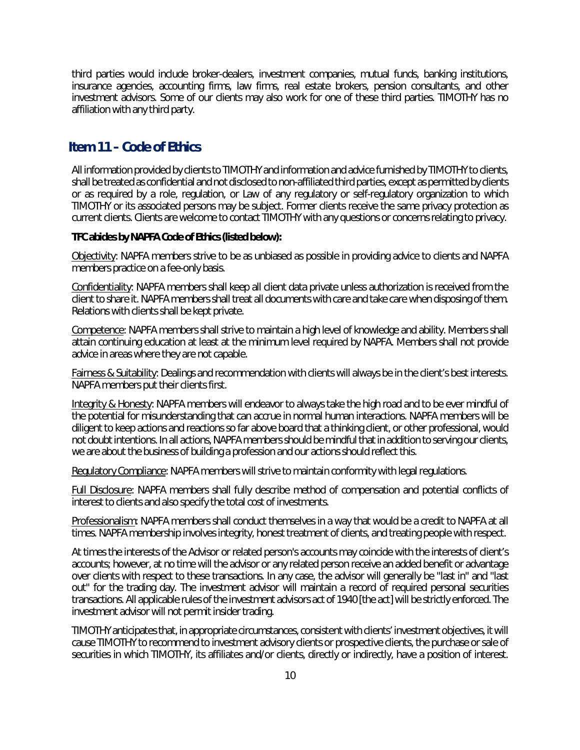third parties would include broker-dealers, investment companies, mutual funds, banking institutions, insurance agencies, accounting firms, law firms, real estate brokers, pension consultants, and other investment advisors. Some of our clients may also work for one of these third parties. TIMOTHY has no affiliation with any third party.

## <span id="page-11-0"></span>**Item 11 – Code of Ethics**

All information provided by clients to TIMOTHY and information and advice furnished by TIMOTHY to clients, shall be treated as confidential and not disclosed to non-affiliated third parties, except as permitted by clients or as required by a role, regulation, or Law of any regulatory or self-regulatory organization to which TIMOTHY or its associated persons may be subject. Former clients receive the same privacy protection as current clients. Clients are welcome to contact TIMOTHY with any questions or concerns relating to privacy.

#### **TFC abides by NAPFA Code of Ethics (listed below):**

Objectivity: NAPFA members strive to be as unbiased as possible in providing advice to clients and NAPFA members practice on a fee-only basis.

Confidentiality: NAPFA members shall keep all client data private unless authorization is received from the client to share it. NAPFA members shall treat all documents with care and take care when disposing of them. Relations with clients shall be kept private.

Competence: NAPFA members shall strive to maintain a high level of knowledge and ability. Members shall attain continuing education at least at the minimum level required by NAPFA. Members shall not provide advice in areas where they are not capable.

**Fairness & Suitability**: Dealings and recommendation with clients will always be in the client's best interests. NAPFA members put their clients first.

Integrity & Honesty: NAPFA members will endeavor to always take the high road and to be ever mindful of the potential for misunderstanding that can accrue in normal human interactions. NAPFA members will be diligent to keep actions and reactions so far above board that a thinking client, or other professional, would not doubt intentions. In all actions, NAPFA members should be mindful that in addition to serving our clients, we are about the business of building a profession and our actions should reflect this.

Regulatory Compliance: NAPFA members will strive to maintain conformity with legal regulations.

Full Disclosure: NAPFA members shall fully describe method of compensation and potential conflicts of interest to clients and also specify the total cost of investments.

Professionalism: NAPFA members shall conduct themselves in a way that would be a credit to NAPFA at all times. NAPFA membership involves integrity, honest treatment of clients, and treating people with respect.

At times the interests of the Advisor or related person's accounts may coincide with the interests of client's accounts; however, at no time will the advisor or any related person receive an added benefit or advantage over clients with respect to these transactions. In any case, the advisor will generally be "last in" and "last out" for the trading day. The investment advisor will maintain a record of required personal securities transactions. All applicable rules of the investment advisors act of 1940 [the act] will be strictly enforced. The investment advisor will not permit insider trading.

TIMOTHY anticipates that, in appropriate circumstances, consistent with clients' investment objectives, it will cause TIMOTHY to recommend to investment advisory clients or prospective clients, the purchase or sale of securities in which TIMOTHY, its affiliates and/or clients, directly or indirectly, have a position of interest.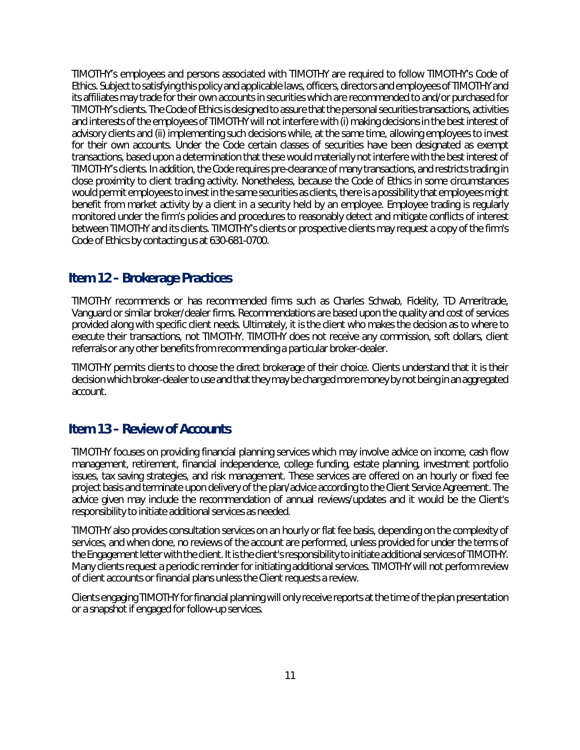TIMOTHY's employees and persons associated with TIMOTHY are required to follow TIMOTHY's Code of Ethics. Subject to satisfying this policy and applicable laws, officers, directors and employees of TIMOTHY and its affiliates may trade for their own accounts in securities which are recommended to and/or purchased for TIMOTHY's clients. The Code of Ethics is designed to assure that the personal securities transactions, activities and interests of the employees of TIMOTHY will not interfere with (i) making decisions in the best interest of advisory clients and (ii) implementing such decisions while, at the same time, allowing employees to invest for their own accounts. Under the Code certain classes of securities have been designated as exempt transactions, based upon a determination that these would materially not interfere with the best interest of TIMOTHY's clients. In addition, the Code requires pre-clearance of many transactions, and restricts trading in close proximity to client trading activity. Nonetheless, because the Code of Ethics in some circumstances would permit employees to invest in the same securities as clients, there is a possibility that employees might benefit from market activity by a client in a security held by an employee. Employee trading is regularly monitored under the firm's policies and procedures to reasonably detect and mitigate conflicts of interest between TIMOTHY and its clients. TIMOTHY's clients or prospective clients may request a copy of the firm's Code of Ethics by contacting us at 630-681-0700.

# <span id="page-12-0"></span>**Item 12 – Brokerage Practices**

TIMOTHY recommends or has recommended firms such as Charles Schwab, Fidelity, TD Ameritrade, Vanguard or similar broker/dealer firms. Recommendations are based upon the quality and cost of services provided along with specific client needs. Ultimately, it is the client who makes the decision as to where to execute their transactions, not TIMOTHY. TIMOTHY does not receive any commission, soft dollars, client referrals or any other benefits from recommending a particular broker-dealer.

TIMOTHY permits clients to choose the direct brokerage of their choice. Clients understand that it is their decision which broker-dealer to use and that they may be charged more money by not being in an aggregated account.

## <span id="page-12-1"></span>**Item 13 – Review of Accounts**

TIMOTHY focuses on providing financial planning services which may involve advice on income, cash flow management, retirement, financial independence, college funding, estate planning, investment portfolio issues, tax saving strategies, and risk management. These services are offered on an hourly or fixed fee project basis and terminate upon delivery of the plan/advice according to the Client Service Agreement. The advice given may include the recommendation of annual reviews/updates and it would be the Client's responsibility to initiate additional services as needed.

TIMOTHY also provides consultation services on an hourly or flat fee basis, depending on the complexity of services, and when done, no reviews of the account are performed, unless provided for under the terms of the Engagement letter with the client. It is the client's responsibility to initiate additional services of TIMOTHY. Many clients request a periodic reminder for initiating additional services. TIMOTHY will not perform review of client accounts or financial plans unless the Client requests a review.

Clients engaging TIMOTHY for financial planning will only receive reports at the time of the plan presentation or a snapshot if engaged for follow-up services.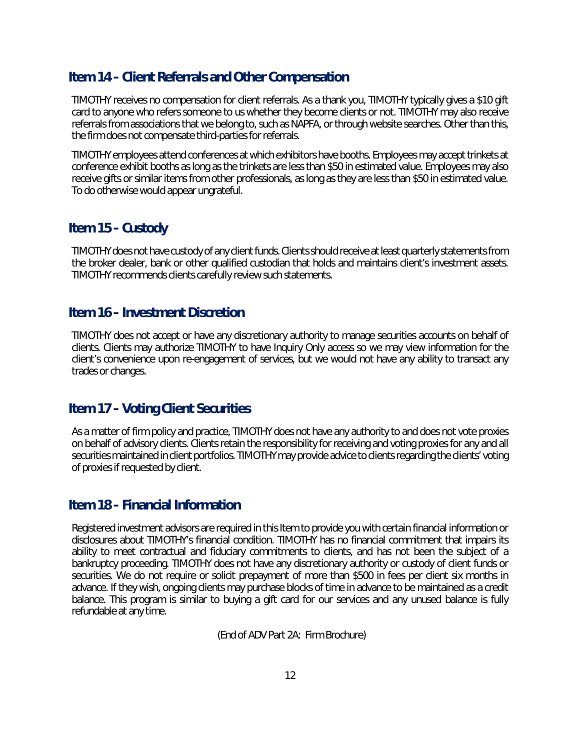# <span id="page-13-0"></span>**Item 14 – Client Referrals and Other Compensation**

TIMOTHY receives no compensation for client referrals. As a thank you, TIMOTHY typically gives a \$10 gift card to anyone who refers someone to us whether they become clients or not. TIMOTHY may also receive referrals from associations that we belong to, such as NAPFA, or through website searches. Other than this, the firm does not compensate third-parties for referrals.

TIMOTHY employees attend conferences at which exhibitors have booths. Employees may accept trinkets at conference exhibit booths as long as the trinkets are less than \$50 in estimated value. Employees may also receive gifts or similar items from other professionals, as long as they are less than \$50 in estimated value. To do otherwise would appear ungrateful.

### <span id="page-13-1"></span>**Item 15 – Custody**

TIMOTHY does not have custody of any client funds. Clients should receive at least quarterly statements from the broker dealer, bank or other qualified custodian that holds and maintains client's investment assets. TIMOTHY recommends clients carefully review such statements.

### <span id="page-13-2"></span>**Item 16 – Investment Discretion**

TIMOTHY does not accept or have any discretionary authority to manage securities accounts on behalf of clients. Clients may authorize TIMOTHY to have Inquiry Only access so we may view information for the client's convenience upon re-engagement of services, but we would not have any ability to transact any trades or changes.

# <span id="page-13-3"></span>**Item 17 – Voting Client Securities**

As a matter of firm policy and practice, TIMOTHY does not have any authority to and does not vote proxies on behalf of advisory clients. Clients retain the responsibility for receiving and voting proxies for any and all securities maintained in client portfolios. TIMOTHY may provide advice to clients regarding the clients' voting of proxies if requested by client.

### <span id="page-13-4"></span>**Item 18 – Financial Information**

Registered investment advisors are required in this Item to provide you with certain financial information or disclosures about TIMOTHY's financial condition. TIMOTHY has no financial commitment that impairs its ability to meet contractual and fiduciary commitments to clients, and has not been the subject of a bankruptcy proceeding. TIMOTHY does not have any discretionary authority or custody of client funds or securities. We do not require or solicit prepayment of more than \$500 in fees per client six months in advance. If they wish, ongoing clients may purchase blocks of time in advance to be maintained as a credit balance. This program is similar to buying a gift card for our services and any unused balance is fully refundable at any time.

(End of ADV Part 2A: Firm Brochure)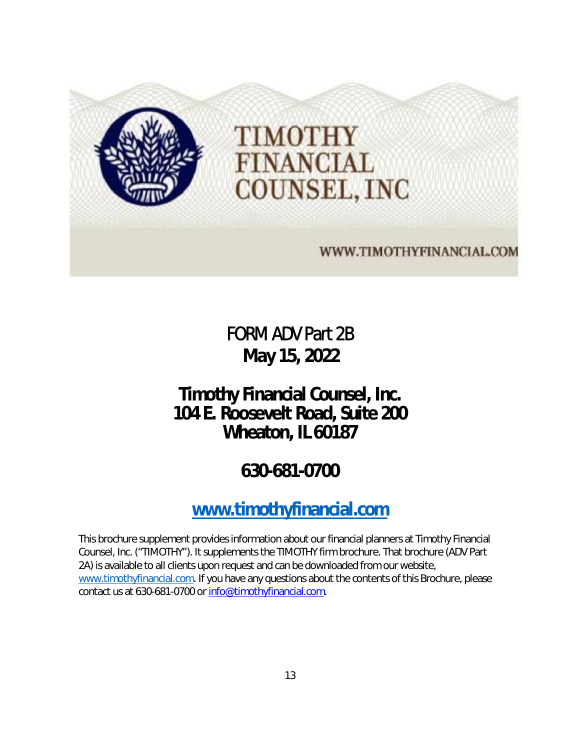

FORM ADV Part 2B **May 15, 2022** 

# <span id="page-14-0"></span>**Timothy Financial Counsel, Inc. 104 E. Roosevelt Road, Suite 200 Wheaton, IL 60187**

# **630-681-0700**

# **[www.timothyfinancial.com](http://www.timothyfinancial.com/)**

This brochure supplement provides information about our financial planners at Timothy Financial Counsel, Inc. ("TIMOTHY"). It supplements the TIMOTHY firm brochure. That brochure (ADV Part 2A) is available to all clients upon request and can be downloaded from our website, [www.timothyfinancial.com.](http://www.timothyfinancial.com/) If you have any questions about the contents of this Brochure, please contact us at 630-681-0700 or [info@timothyfinancial.com.](mailto:info@timothyfinancial.com)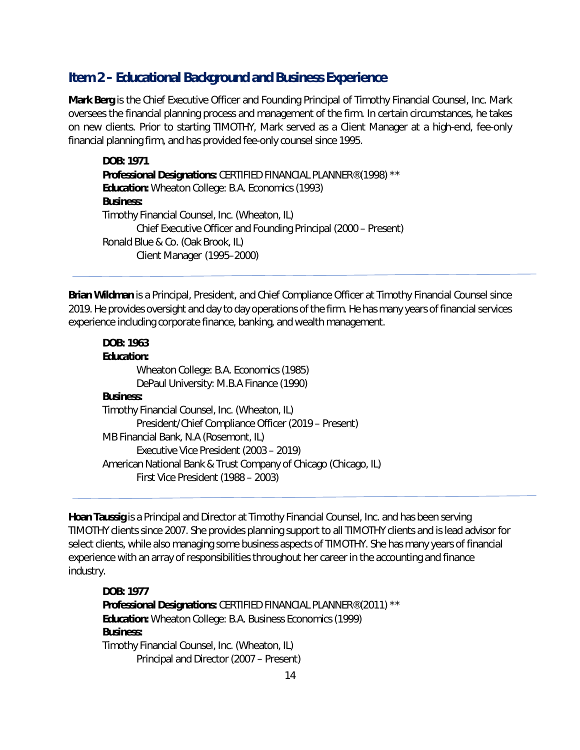## **Item 2 – Educational Background and Business Experience**

**Mark Berg** is the Chief Executive Officer and Founding Principal of Timothy Financial Counsel, Inc. Mark oversees the financial planning process and management of the firm. In certain circumstances, he takes on new clients. Prior to starting TIMOTHY, Mark served as a Client Manager at a high-end, fee-only financial planning firm, and has provided fee-only counsel since 1995.

*DOB:* **1971** *Professional Designations:* CERTIFIED FINANCIAL PLANNER® (1998) \*\* *Education:* Wheaton College: B.A. Economics (1993) *Business:*  Timothy Financial Counsel, Inc. (Wheaton, IL) Chief Executive Officer and Founding Principal (2000 – Present) Ronald Blue & Co. (Oak Brook, IL) Client Manager (1995–2000)

**Brian Wildman** is a Principal, President, and Chief Compliance Officer at Timothy Financial Counsel since 2019. He provides oversight and day to day operations of the firm. He has many years of financial services experience including corporate finance, banking, and wealth management.

#### *DOB:* **1963**

## *Education:*  Wheaton College: B.A. Economics (1985) DePaul University: M.B.A Finance (1990) *Business:*  Timothy Financial Counsel, Inc. (Wheaton, IL) President/Chief Compliance Officer (2019 – Present) MB Financial Bank, N.A (Rosemont, IL) Executive Vice President (2003 – 2019) American National Bank & Trust Company of Chicago (Chicago, IL) First Vice President (1988 – 2003)

**Hoan Taussig** is a Principal and Director at Timothy Financial Counsel, Inc. and has been serving TIMOTHY clients since 2007. She provides planning support to all TIMOTHY clients and is lead advisor for select clients, while also managing some business aspects of TIMOTHY. She has many years of financial experience with an array of responsibilities throughout her career in the accounting and finance industry.

*DOB:* **1977** *Professional Designations:* CERTIFIED FINANCIAL PLANNER® (2011) \*\* *Education:* Wheaton College: B.A. Business Economics (1999) *Business:*  Timothy Financial Counsel, Inc. (Wheaton, IL) Principal and Director (2007 – Present)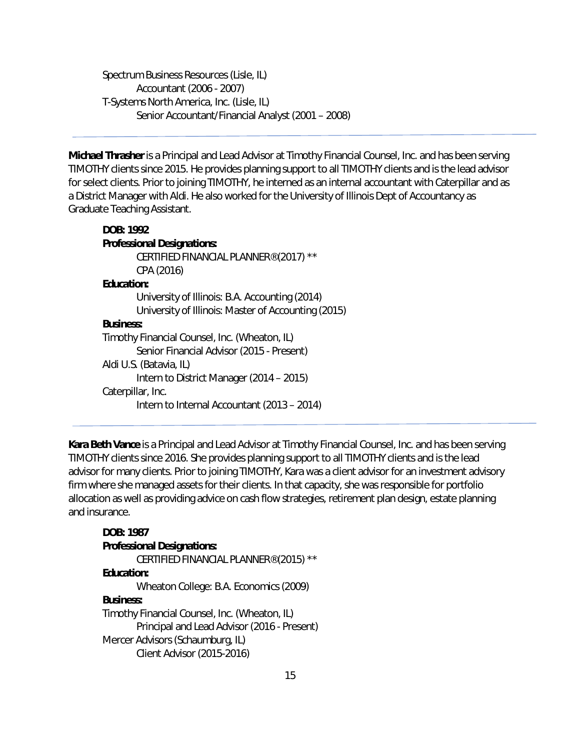Spectrum Business Resources (Lisle, IL) Accountant (2006 - 2007) T-Systems North America, Inc. (Lisle, IL) Senior Accountant/Financial Analyst (2001 – 2008)

**Michael Thrasher** is a Principal and Lead Advisor at Timothy Financial Counsel, Inc. and has been serving TIMOTHY clients since 2015. He provides planning support to all TIMOTHY clients and is the lead advisor for select clients. Prior to joining TIMOTHY, he interned as an internal accountant with Caterpillar and as a District Manager with Aldi. He also worked for the University of Illinois Dept of Accountancy as Graduate Teaching Assistant.

## *DOB:* **1992** *Professional Designations:*  CERTIFIED FINANCIAL PLANNER® (2017) \*\* CPA (2016) *Education:*  University of Illinois: B.A. Accounting (2014) University of Illinois: Master of Accounting (2015) *Business:*  Timothy Financial Counsel, Inc. (Wheaton, IL) Senior Financial Advisor (2015 - Present) Aldi U.S. (Batavia, IL) Intern to District Manager (2014 – 2015) Caterpillar, Inc. Intern to Internal Accountant (2013 – 2014)

**Kara Beth Vance** is a Principal and Lead Advisor at Timothy Financial Counsel, Inc. and has been serving TIMOTHY clients since 2016. She provides planning support to all TIMOTHY clients and is the lead advisor for many clients. Prior to joining TIMOTHY, Kara was a client advisor for an investment advisory firm where she managed assets for their clients. In that capacity, she was responsible for portfolio allocation as well as providing advice on cash flow strategies, retirement plan design, estate planning and insurance.

## *DOB:* **1987** *Professional Designations:*  CERTIFIED FINANCIAL PLANNER® (2015) \*\* *Education:*  Wheaton College: B.A. Economics (2009) *Business:*  Timothy Financial Counsel, Inc. (Wheaton, IL) Principal and Lead Advisor (2016 - Present) Mercer Advisors (Schaumburg, IL) Client Advisor (2015-2016)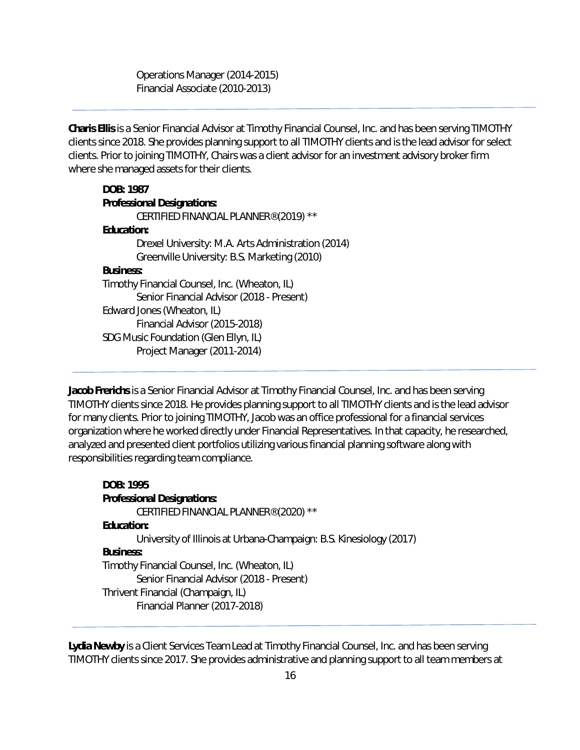Operations Manager (2014-2015) Financial Associate (2010-2013)

**Charis Ellis** is a Senior Financial Advisor at Timothy Financial Counsel, Inc. and has been serving TIMOTHY clients since 2018. She provides planning support to all TIMOTHY clients and is the lead advisor for select clients. Prior to joining TIMOTHY, Chairs was a client advisor for an investment advisory broker firm where she managed assets for their clients.

## *DOB:* **1987** *Professional Designations:*  CERTIFIED FINANCIAL PLANNER® (2019) \*\* *Education:*  Drexel University: M.A. Arts Administration (2014) Greenville University: B.S. Marketing (2010) *Business:*  Timothy Financial Counsel, Inc. (Wheaton, IL) Senior Financial Advisor (2018 - Present) Edward Jones (Wheaton, IL) Financial Advisor (2015-2018) SDG Music Foundation (Glen Ellyn, IL) Project Manager (2011-2014)

**Jacob Frerichs** is a Senior Financial Advisor at Timothy Financial Counsel, Inc. and has been serving TIMOTHY clients since 2018. He provides planning support to all TIMOTHY clients and is the lead advisor for many clients. Prior to joining TIMOTHY, Jacob was an office professional for a financial services organization where he worked directly under Financial Representatives. In that capacity, he researched, analyzed and presented client portfolios utilizing various financial planning software along with responsibilities regarding team compliance.

```
DOB: 1995
Professional Designations: 
       CERTIFIED FINANCIAL PLANNER® (2020) ** 
Education: 
       University of Illinois at Urbana-Champaign: B.S. Kinesiology (2017) 
Business: 
Timothy Financial Counsel, Inc. (Wheaton, IL) 
        Senior Financial Advisor (2018 - Present) 
Thrivent Financial (Champaign, IL) 
       Financial Planner (2017-2018)
```
**Lydia Newby** is a Client Services Team Lead at Timothy Financial Counsel, Inc. and has been serving TIMOTHY clients since 2017. She provides administrative and planning support to all team members at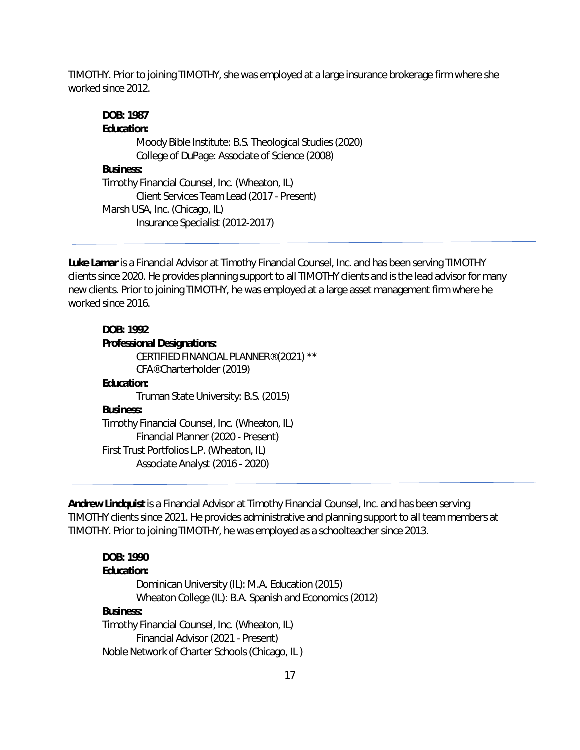TIMOTHY. Prior to joining TIMOTHY, she was employed at a large insurance brokerage firm where she worked since 2012.

## *DOB:* **1987** *Education:*  Moody Bible Institute: B.S. Theological Studies (2020) College of DuPage: Associate of Science (2008) *Business:*  Timothy Financial Counsel, Inc. (Wheaton, IL) Client Services Team Lead (2017 - Present) Marsh USA, Inc. (Chicago, IL) Insurance Specialist (2012-2017)

**Luke Lamar** is a Financial Advisor at Timothy Financial Counsel, Inc. and has been serving TIMOTHY clients since 2020. He provides planning support to all TIMOTHY clients and is the lead advisor for many new clients. Prior to joining TIMOTHY, he was employed at a large asset management firm where he worked since 2016.

#### *DOB:* **1992**

### *Professional Designations:*  CERTIFIED FINANCIAL PLANNER® (2021) \*\* CFA® Charterholder (2019) *Education:*  Truman State University: B.S. (2015) *Business:*  Timothy Financial Counsel, Inc. (Wheaton, IL) Financial Planner (2020 - Present) First Trust Portfolios L.P. (Wheaton, IL) Associate Analyst (2016 - 2020)

**Andrew Lindquist** is a Financial Advisor at Timothy Financial Counsel, Inc. and has been serving TIMOTHY clients since 2021. He provides administrative and planning support to all team members at TIMOTHY. Prior to joining TIMOTHY, he was employed as a schoolteacher since 2013.

#### *DOB:* **1990**  *Education:*

```
Dominican University (IL): M.A. Education (2015) 
       Wheaton College (IL): B.A. Spanish and Economics (2012) 
Business: 
Timothy Financial Counsel, Inc. (Wheaton, IL) 
       Financial Advisor (2021 - Present) 
Noble Network of Charter Schools (Chicago, IL )
```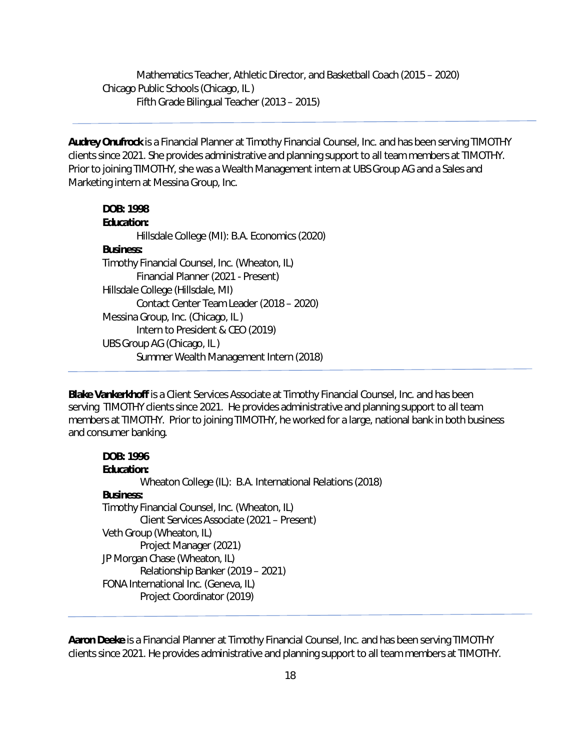Mathematics Teacher, Athletic Director, and Basketball Coach (2015 – 2020) Chicago Public Schools (Chicago, IL ) Fifth Grade Bilingual Teacher (2013 – 2015)

**Audrey Onufrock** is a Financial Planner at Timothy Financial Counsel, Inc. and has been serving TIMOTHY clients since 2021. She provides administrative and planning support to all team members at TIMOTHY. Prior to joining TIMOTHY, she was a Wealth Management intern at UBS Group AG and a Sales and Marketing intern at Messina Group, Inc.

#### *DOB:* **1998**

# *Education:*

Hillsdale College (MI): B.A. Economics (2020)

#### *Business:*

Timothy Financial Counsel, Inc. (Wheaton, IL) Financial Planner (2021 - Present) Hillsdale College (Hillsdale, MI) Contact Center Team Leader (2018 – 2020) Messina Group, Inc. (Chicago, IL ) Intern to President & CEO (2019) UBS Group AG (Chicago, IL ) Summer Wealth Management Intern (2018)

**Blake Vankerkhoff** is a Client Services Associate at Timothy Financial Counsel, Inc. and has been serving TIMOTHY clients since 2021. He provides administrative and planning support to all team members at TIMOTHY. Prior to joining TIMOTHY, he worked for a large, national bank in both business and consumer banking.

#### **DOB: 1996**

**Education:** Wheaton College (IL): B.A. International Relations (2018) **Business:** Timothy Financial Counsel, Inc. (Wheaton, IL) Client Services Associate (2021 – Present) Veth Group (Wheaton, IL) Project Manager (2021) JP Morgan Chase (Wheaton, IL) Relationship Banker (2019 – 2021) FONA International Inc. (Geneva, IL) Project Coordinator (2019)

**Aaron Deeke** is a Financial Planner at Timothy Financial Counsel, Inc. and has been serving TIMOTHY clients since 2021. He provides administrative and planning support to all team members at TIMOTHY.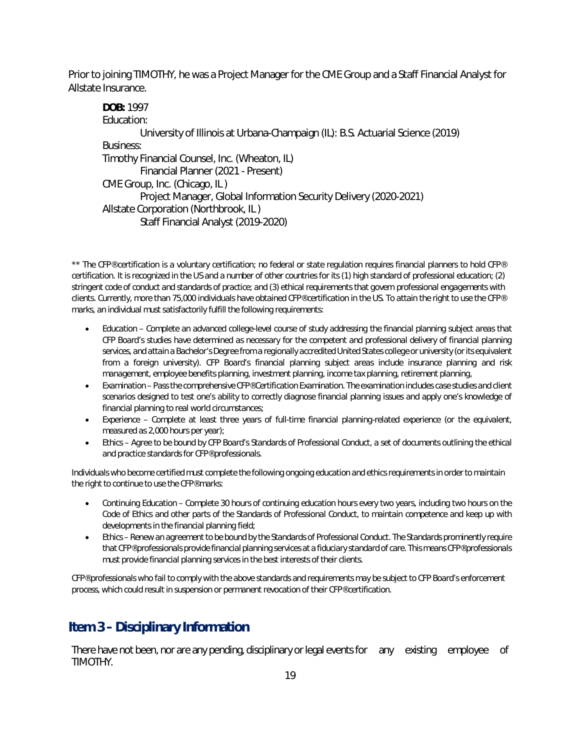Prior to joining TIMOTHY, he was a Project Manager for the CME Group and a Staff Financial Analyst for Allstate Insurance.

*DOB:* 1997 Education: University of Illinois at Urbana-Champaign (IL): B.S. Actuarial Science (2019) Business: Timothy Financial Counsel, Inc. (Wheaton, IL) Financial Planner (2021 - Present) CME Group, Inc. (Chicago, IL ) Project Manager, Global Information Security Delivery (2020-2021) Allstate Corporation (Northbrook, IL ) Staff Financial Analyst (2019-2020)

*\*\* The CFP® certification is a voluntary certification; no federal or state regulation requires financial planners to hold CFP® certification. It is recognized in the US and a number of other countries for its (1) high standard of professional education; (2) stringent code of conduct and standards of practice; and (3) ethical requirements that govern professional engagements with clients. Currently, more than 75,000 individuals have obtained CFP® certification in the US. To attain the right to use the CFP® marks, an individual must satisfactorily fulfill the following requirements:* 

- *Education Complete an advanced college-level course of study addressing the financial planning subject areas that CFP Board's studies have determined as necessary for the competent and professional delivery of financial planning services, and attain a Bachelor's Degree from a regionally accredited United States college or university (or its equivalent from a foreign university). CFP Board's financial planning subject areas include insurance planning and risk management, employee benefits planning, investment planning, income tax planning, retirement planning,*
- *Examination Pass the comprehensive CFP® Certification Examination. The examination includes case studies and client scenarios designed to test one's ability to correctly diagnose financial planning issues and apply one's knowledge of financial planning to real world circumstances;*
- *Experience Complete at least three years of full-time financial planning-related experience (or the equivalent, measured as 2,000 hours per year);*
- **Ethics Agree to be bound by CFP Board's Standards of Professional Conduct, a set of documents outlining the ethical** *and practice standards for CFP® professionals.*

*Individuals who become certified must complete the following ongoing education and ethics requirements in order to maintain the right to continue to use the CFP® marks:* 

- *Continuing Education Complete 30 hours of continuing education hours every two years, including two hours on the Code of Ethics and other parts of the Standards of Professional Conduct, to maintain competence and keep up with developments in the financial planning field;*
- *Ethics Renew an agreement to be bound by the Standards of Professional Conduct. The Standards prominently require that CFP® professionals provide financial planning services at a fiduciary standard of care. This means CFP® professionals must provide financial planning services in the best interests of their clients.*

*CFP® professionals who fail to comply with the above standards and requirements may be subject to CFP Board's enforcement process, which could result in suspension or permanent revocation of their CFP® certification.* 

# **Item 3 – Disciplinary Information**

There have not been, nor are any pending, disciplinary or legal events for any existing employee of TIMOTHY.